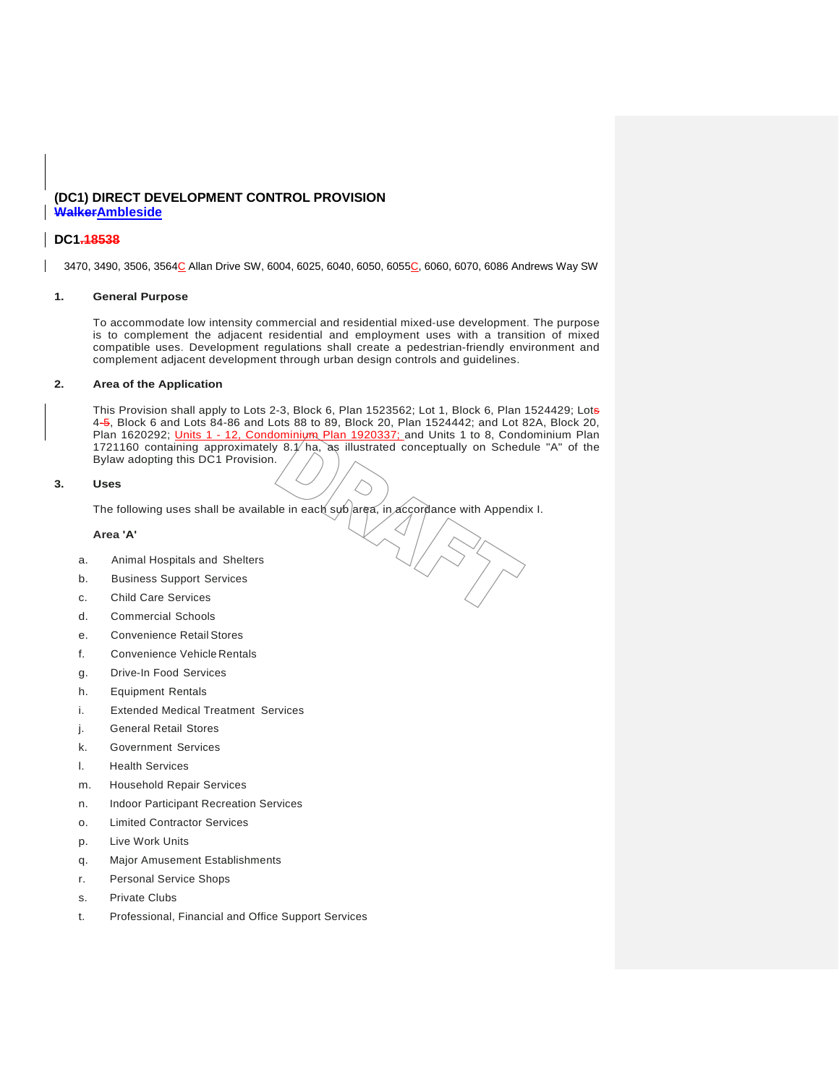## **(DC1) DIRECT DEVELOPMENT CONTROL PROVISION WalkerAmbleside**

## **DC1.18538**

3470, 3490, 3506, 3564C Allan Drive SW, 6004, 6025, 6040, 6050, 6055C, 6060, 6070, 6086 Andrews Way SW

### **1. General Purpose**

To accommodate low intensity commercial and residential mixed-use development. The purpose is to complement the adjacent residential and employment uses with a transition of mixed compatible uses. Development regulations shall create a pedestrian-friendly environment and complement adjacent development through urban design controls and guidelines.

## **2. Area of the Application**

This Provision shall apply to Lots 2-3, Block 6, Plan 1523562; Lot 1, Block 6, Plan 1524429; Lots 4-5, Block 6 and Lots 84-86 and Lots 88 to 89, Block 20, Plan 1524442; and Lot 82A, Block 20, Plan 1620292; <u>Units 1 - 12, Condominium Plan 1920337;</u> and Units 1 to 8, Condominium Plan 1721160 containing approximately 8.1/ ha, as illustrated conceptually on Schedule "A" of the Bylaw adopting this DC1 Provision.

### **3. Uses**

The following uses shall be available in each sub area, in accordance with Appendix I.

### **Area 'A'**

- a. Animal Hospitals and Shelters
- b. Business Support Services
- c. Child Care Services
- d. Commercial Schools
- e. Convenience Retail Stores
- f. Convenience Vehicle Rentals
- g. Drive-In Food Services
- h. Equipment Rentals
- i. Extended Medical Treatment Services
- j. General Retail Stores
- k. Government Services
- l. Health Services
- m. Household Repair Services
- n. Indoor Participant Recreation Services
- o. Limited Contractor Services
- p. Live Work Units
- q. Major Amusement Establishments
- r. Personal Service Shops
- s. Private Clubs
- t. Professional, Financial and Office Support Services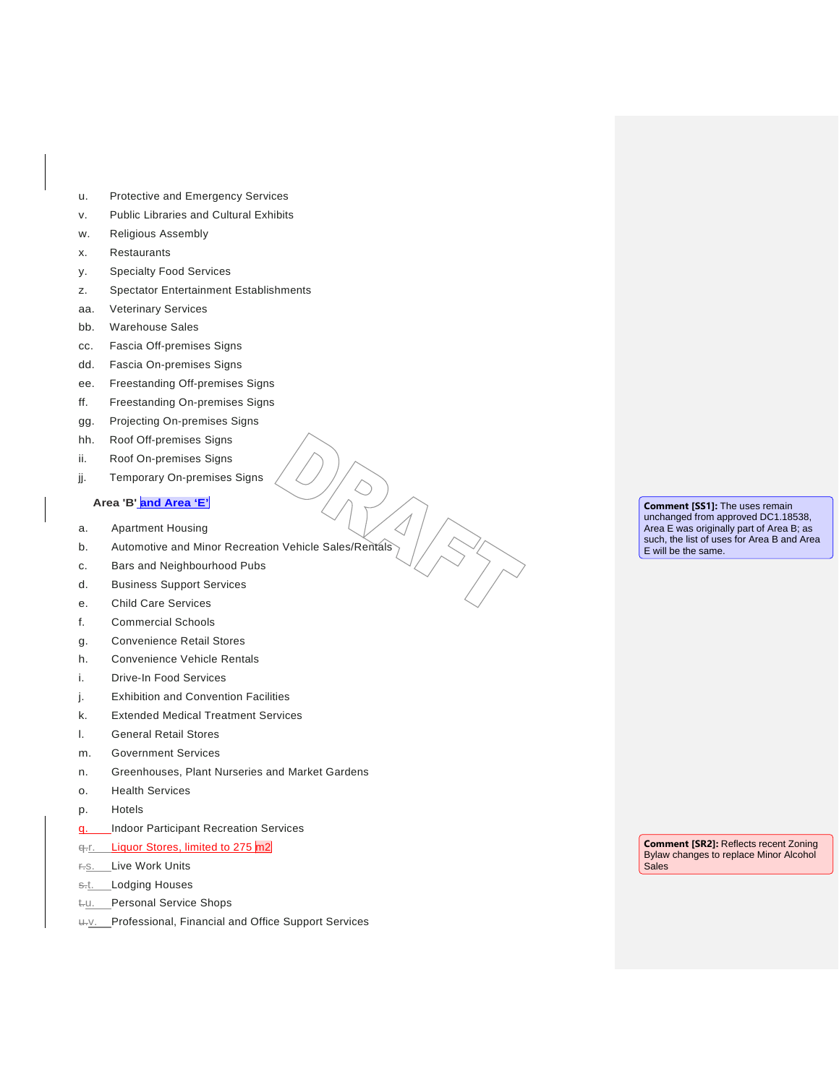- u. Protective and Emergency Services
- v. Public Libraries and Cultural Exhibits
- w. Religious Assembly
- x. Restaurants
- y. Specialty Food Services
- z. Spectator Entertainment Establishments
- aa. Veterinary Services
- bb. Warehouse Sales
- cc. Fascia Off-premises Signs
- dd. Fascia On-premises Signs
- ee. Freestanding Off-premises Signs
- ff. Freestanding On-premises Signs
- gg. Projecting On-premises Signs
- hh. Roof Off-premises Signs
- ii. Roof On-premises Signs
- jj. Temporary On-premises Signs

# **Area 'B' and Area 'E'**

- a. Apartment Housing
- b. Automotive and Minor Recreation Vehicle Sales/Rentals
- c. Bars and Neighbourhood Pubs
- d. Business Support Services
- e. Child Care Services
- f. Commercial Schools
- g. Convenience Retail Stores
- h. Convenience Vehicle Rentals
- i. Drive-In Food Services
- j. Exhibition and Convention Facilities
- k. Extended Medical Treatment Services
- l. General Retail Stores
- m. Government Services
- n. Greenhouses, Plant Nurseries and Market Gardens
- o. Health Services
- p. Hotels
- q. **Indoor Participant Recreation Services**
- q.r. Liquor Stores, limited to 275 m2
- r.s. Live Work Units
- s.t. Lodging Houses
- t-u. Personal Service Shops
- u.v. Professional, Financial and Office Support Services

**Comment [SS1]:** The uses remain unchanged from approved DC1.18538, Area E was originally part of Area B; as such, the list of uses for Area B and Area E will be the same.

**Comment [SR2]:** Reflects recent Zoning Bylaw changes to replace Minor Alcohol **Sales**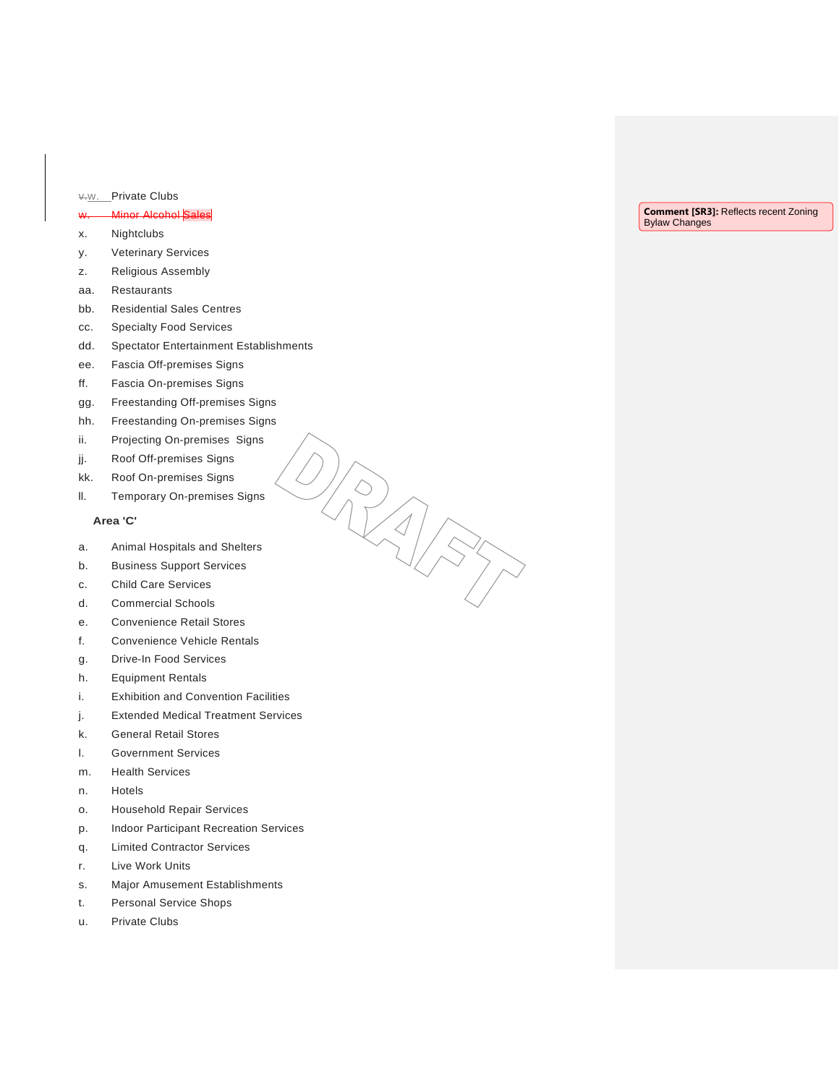# v.w. Private Clubs

# w. Minor Alcohol Sales

- x. Nightclubs
- y. Veterinary Services
- z. Religious Assembly
- aa. Restaurants
- bb. Residential Sales Centres
- cc. Specialty Food Services
- dd. Spectator Entertainment Establishments
- ee. Fascia Off-premises Signs
- ff. Fascia On-premises Signs
- gg. Freestanding Off-premises Signs
- hh. Freestanding On-premises Signs
- ii. Projecting On-premises Signs
- jj. Roof Off-premises Signs
- kk. Roof On-premises Signs
- ll. Temporary On-premises Signs

### **Area 'C'**

a. Animal Hospitals and Shelters

- b. Business Support Services
- c. Child Care Services
- d. Commercial Schools
- e. Convenience Retail Stores
- f. Convenience Vehicle Rentals
- g. Drive-In Food Services
- h. Equipment Rentals
- i. Exhibition and Convention Facilities
- j. Extended Medical Treatment Services
- k. General Retail Stores
- l. Government Services
- m. Health Services
- n. Hotels
- o. Household Repair Services
- p. Indoor Participant Recreation Services
- q. Limited Contractor Services
- r. Live Work Units
- s. Major Amusement Establishments
- t. Personal Service Shops
- u. Private Clubs

**Comment [SR3]:** Reflects recent Zoning Bylaw Changes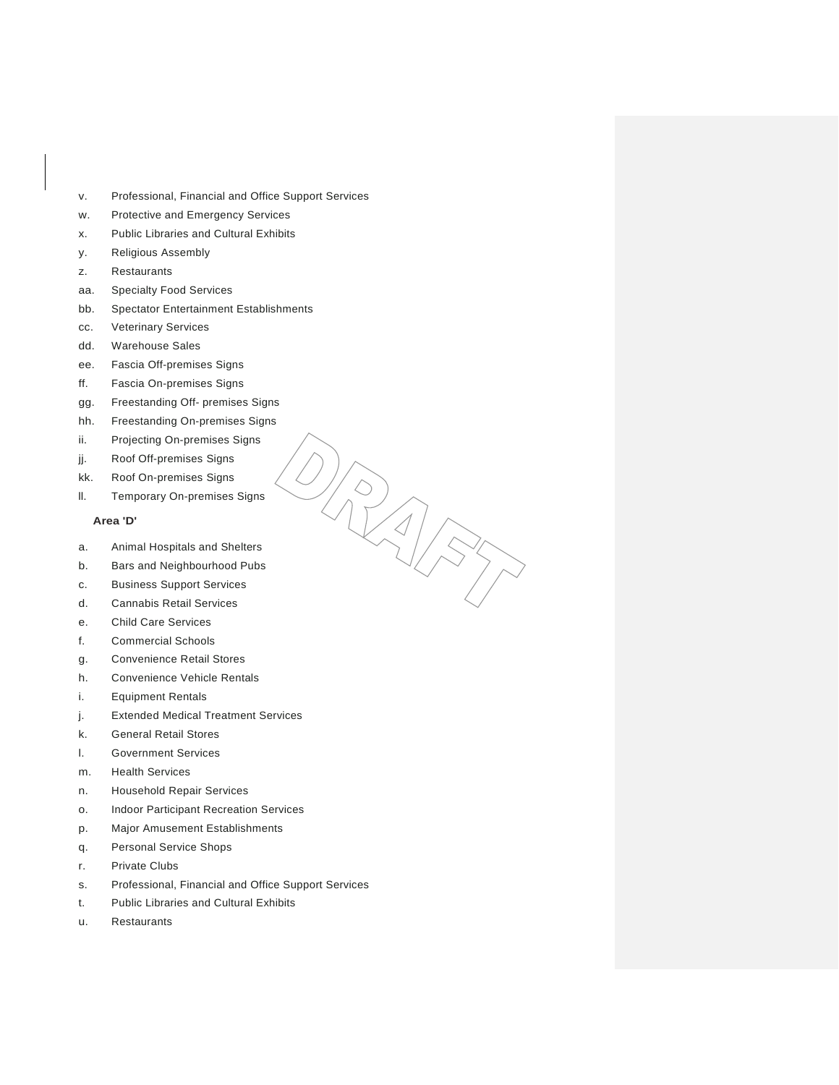- v. Professional, Financial and Office Support Services
- w. Protective and Emergency Services
- x. Public Libraries and Cultural Exhibits
- y. Religious Assembly
- z. Restaurants
- aa. Specialty Food Services
- bb. Spectator Entertainment Establishments
- cc. Veterinary Services
- dd. Warehouse Sales
- ee. Fascia Off-premises Signs
- ff. Fascia On-premises Signs
- gg. Freestanding Off- premises Signs
- hh. Freestanding On-premises Signs
- ii. Projecting On-premises Signs
- jj. Roof Off-premises Signs
- kk. Roof On-premises Signs
- ll. Temporary On-premises Signs

## **Area 'D'**

a. Animal Hospitals and Shelters

- b. Bars and Neighbourhood Pubs
- c. Business Support Services
- d. Cannabis Retail Services
- e. Child Care Services
- f. Commercial Schools
- g. Convenience Retail Stores
- h. Convenience Vehicle Rentals
- i. Equipment Rentals
- j. Extended Medical Treatment Services
- k. General Retail Stores
- l. Government Services
- m. Health Services
- n. Household Repair Services
- o. Indoor Participant Recreation Services
- p. Major Amusement Establishments
- q. Personal Service Shops
- r. Private Clubs
- s. Professional, Financial and Office Support Services
- t. Public Libraries and Cultural Exhibits
- u. Restaurants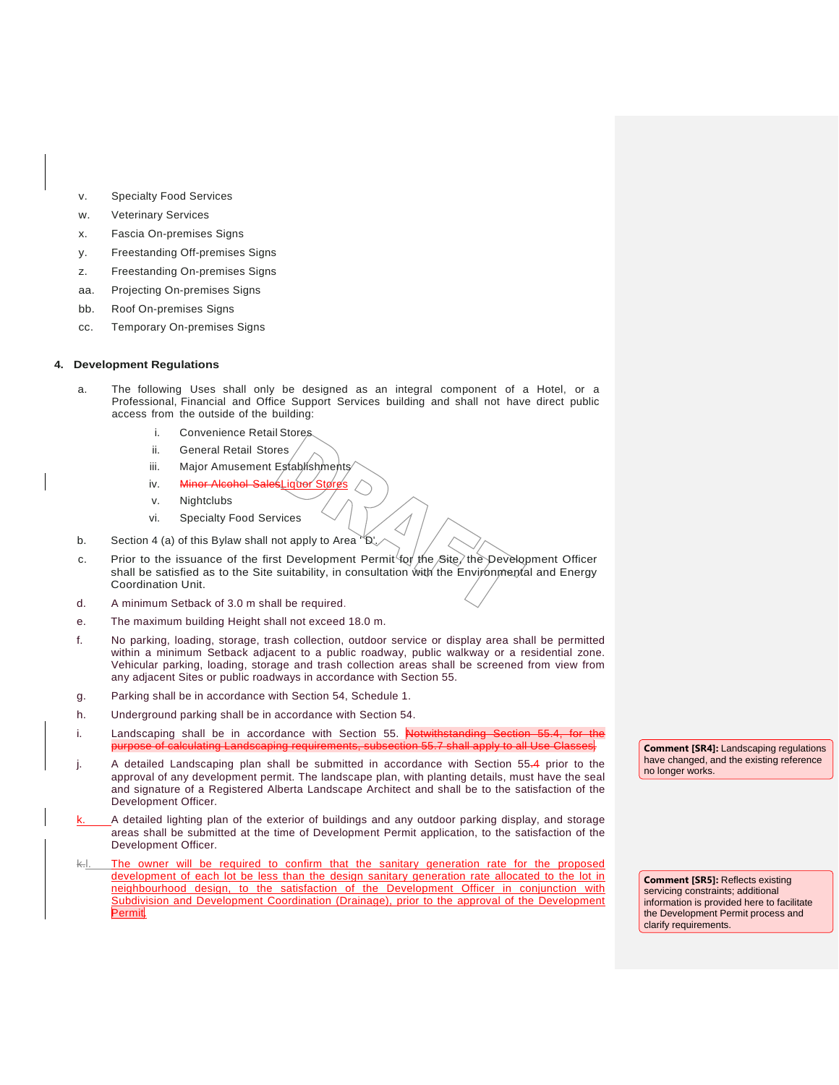- v. Specialty Food Services
- w. Veterinary Services
- x. Fascia On-premises Signs
- y. Freestanding Off-premises Signs
- z. Freestanding On-premises Signs
- aa. Projecting On-premises Signs
- bb. Roof On-premises Signs
- cc. Temporary On-premises Signs

#### **4. Development Regulations**

- a. The following Uses shall only be designed as an integral component of a Hotel, or a Professional, Financial and Office Support Services building and shall not have direct public access from the outside of the building:
	- i. Convenience Retail Stores
	- ii. General Retail Stores
	- iii. Major Amusement Establishments
	- iv. Minor Alcohol SalesLiguor Stores
	- v. Nightclubs
	- vi. Specialty Food Services
- b. Section 4 (a) of this Bylaw shall not apply to Area  $\sqrt[n]{D}$ .
- c. Prior to the issuance of the first Development Permit for the Site the Development Officer shall be satisfied as to the Site suitability, in consultation with the Environmental and Energy Coordination Unit.
- d. A minimum Setback of 3.0 m shall be required.
- e. The maximum building Height shall not exceed 18.0 m.
- f. No parking, loading, storage, trash collection, outdoor service or display area shall be permitted within a minimum Setback adjacent to a public roadway, public walkway or a residential zone. Vehicular parking, loading, storage and trash collection areas shall be screened from view from any adjacent Sites or public roadways in accordance with Section 55.
- g. Parking shall be in accordance with Section 54, Schedule 1.
- h. Underground parking shall be in accordance with Section 54.
- i. Landscaping shall be in accordance with Section 55. Not murpose of calculation Cla<br>The calculation of the subset of the subsection of the State Class
- j. A detailed Landscaping plan shall be submitted in accordance with Section 55.4 prior to the approval of any development permit. The landscape plan, with planting details, must have the seal and signature of a Registered Alberta Landscape Architect and shall be to the satisfaction of the Development Officer.
- A detailed lighting plan of the exterior of buildings and any outdoor parking display, and storage areas shall be submitted at the time of Development Permit application, to the satisfaction of the Development Officer.
- The owner will be required to confirm that the sanitary generation rate for the proposed development of each lot be less than the design sanitary generation rate allocated to the lot in neighbourhood design, to the satisfaction of the Development Officer in conjunction with Subdivision and Development Coordination (Drainage), prior to the approval of the Development Permit.

**Comment [SR4]:** Landscaping regulations have changed, and the existing reference no longer works.

**Comment [SR5]:** Reflects existing servicing constraints; additional information is provided here to facilitate the Development Permit process and clarify requirements.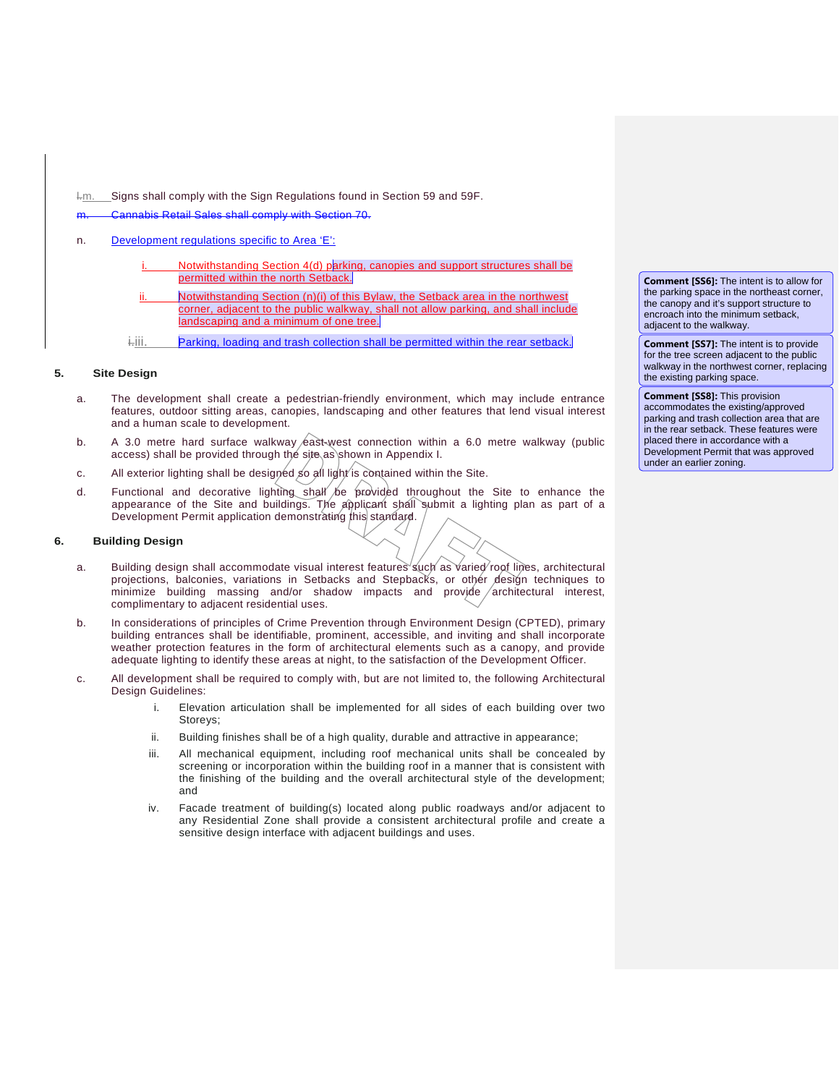l.m. Signs shall comply with the Sign Regulations found in Section 59 and 59F.

m. Cannabis Retail Sales shall comply with Section 70.

### n. Development regulations specific to Area 'E':

- Notwithstanding Section 4(d) parking, canopies and support structures shall be permitted within the north Setback.
- Notwithstanding Section (n)(i) of this Bylaw, the Setback area in the northwest corner, adjacent to the public walkway, shall not allow parking, and shall include landscaping and a minimum of one tree.
- i.iii. Parking, loading and trash collection shall be permitted within the rear setback.

#### **5. Site Design**

- a. The development shall create a pedestrian-friendly environment, which may include entrance features, outdoor sitting areas, canopies, landscaping and other features that lend visual interest and a human scale to development.
- b. A 3.0 metre hard surface walkway  $\sqrt{e}$ ast-west connection within a 6.0 metre walkway (public access) shall be provided through the site as shown in Appendix I.
- c. All exterior lighting shall be designed so all light is contained within the Site.
- d. Functional and decorative lighting shall be provided throughout the Site to enhance the appearance of the Site and buildings. The applicant shall submit a lighting plan as part of a Development Permit application demonstrating this standard.

#### **6. Building Design**

- a. Building design shall accommodate visual interest features such as varied roof lines, architectural projections, balconies, variations in Setbacks and Stepbacks, or other design techniques to minimize building massing and/or shadow impacts and provide  $/$  architectural interest, complimentary to adjacent residential uses.
- b. In considerations of principles of Crime Prevention through Environment Design (CPTED), primary building entrances shall be identifiable, prominent, accessible, and inviting and shall incorporate weather protection features in the form of architectural elements such as a canopy, and provide adequate lighting to identify these areas at night, to the satisfaction of the Development Officer.
- c. All development shall be required to comply with, but are not limited to, the following Architectural Design Guidelines:
	- i. Elevation articulation shall be implemented for all sides of each building over two Storeys;
	- ii. Building finishes shall be of a high quality, durable and attractive in appearance;
	- iii. All mechanical equipment, including roof mechanical units shall be concealed by screening or incorporation within the building roof in a manner that is consistent with the finishing of the building and the overall architectural style of the development; and
	- iv. Facade treatment of building(s) located along public roadways and/or adjacent to any Residential Zone shall provide a consistent architectural profile and create a sensitive design interface with adjacent buildings and uses.

**Comment [SS6]:** The intent is to allow for the parking space in the northeast corner, the canopy and it's support structure to encroach into the minimum setback, adjacent to the walkway.

**Comment [SS7]:** The intent is to provide for the tree screen adjacent to the public walkway in the northwest corner, replacing the existing parking space.

**Comment [SS8]:** This provision accommodates the existing/approved parking and trash collection area that are in the rear setback. These features were placed there in accordance with a Development Permit that was approved under an earlier zoning.